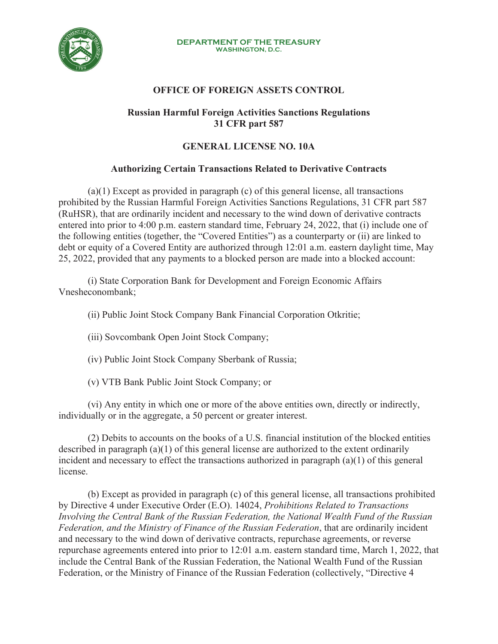

#### **DEPARTMENT OF THE TREASURY WASHINGTON, D.C.**

# **OFFICE OF FOREIGN ASSETS CONTROL**

### **Russian Harmful Foreign Activities Sanctions Regulations 31 CFR part 587**

## **GENERAL LICENSE NO. 10A**

## **Authorizing Certain Transactions Related to Derivative Contracts**

(a)(1) Except as provided in paragraph (c) of this general license, all transactions prohibited by the Russian Harmful Foreign Activities Sanctions Regulations, 31 CFR part 587 (RuHSR), that are ordinarily incident and necessary to the wind down of derivative contracts entered into prior to 4:00 p.m. eastern standard time, February 24, 2022, that (i) include one of the following entities (together, the "Covered Entities") as a counterparty or (ii) are linked to debt or equity of a Covered Entity are authorized through 12:01 a.m. eastern daylight time, May 25, 2022, provided that any payments to a blocked person are made into a blocked account:

(i) State Corporation Bank for Development and Foreign Economic Affairs Vnesheconombank;

(ii) Public Joint Stock Company Bank Financial Corporation Otkritie;

(iii) Sovcombank Open Joint Stock Company;

(iv) Public Joint Stock Company Sberbank of Russia;

(v) VTB Bank Public Joint Stock Company; or

(vi) Any entity in which one or more of the above entities own, directly or indirectly, individually or in the aggregate, a 50 percent or greater interest.

(2) Debits to accounts on the books of a U.S. financial institution of the blocked entities described in paragraph (a)(1) of this general license are authorized to the extent ordinarily incident and necessary to effect the transactions authorized in paragraph (a)(1) of this general license.

 (b) Except as provided in paragraph (c) of this general license, all transactions prohibited by Directive 4 under Executive Order (E.O). 14024, *Prohibitions Related to Transactions Involving the Central Bank of the Russian Federation, the National Wealth Fund of the Russian Federation, and the Ministry of Finance of the Russian Federation*, that are ordinarily incident and necessary to the wind down of derivative contracts, repurchase agreements, or reverse repurchase agreements entered into prior to 12:01 a.m. eastern standard time, March 1, 2022, that include the Central Bank of the Russian Federation, the National Wealth Fund of the Russian Federation, or the Ministry of Finance of the Russian Federation (collectively, "Directive 4